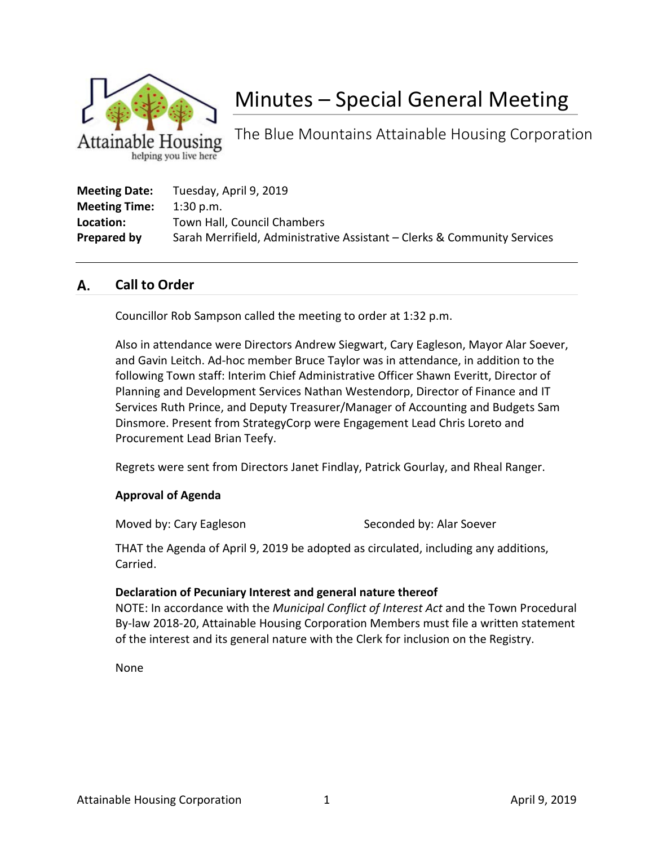

# Minutes – Special General Meeting

The Blue Mountains Attainable Housing Corporation

| <b>Meeting Date:</b> | Tuesday, April 9, 2019                                                   |
|----------------------|--------------------------------------------------------------------------|
| <b>Meeting Time:</b> | $1:30$ p.m.                                                              |
| Location:            | Town Hall, Council Chambers                                              |
| Prepared by          | Sarah Merrifield, Administrative Assistant – Clerks & Community Services |

#### А. **Call to Order**

Councillor Rob Sampson called the meeting to order at 1:32 p.m.

Also in attendance were Directors Andrew Siegwart, Cary Eagleson, Mayor Alar Soever, and Gavin Leitch. Ad-hoc member Bruce Taylor was in attendance, in addition to the following Town staff: Interim Chief Administrative Officer Shawn Everitt, Director of Planning and Development Services Nathan Westendorp, Director of Finance and IT Services Ruth Prince, and Deputy Treasurer/Manager of Accounting and Budgets Sam Dinsmore. Present from StrategyCorp were Engagement Lead Chris Loreto and Procurement Lead Brian Teefy.

Regrets were sent from Directors Janet Findlay, Patrick Gourlay, and Rheal Ranger.

### **Approval of Agenda**

Moved by: Cary Eagleson Seconded by: Alar Soever

THAT the Agenda of April 9, 2019 be adopted as circulated, including any additions, Carried.

### **Declaration of Pecuniary Interest and general nature thereof**

NOTE: In accordance with the *Municipal Conflict of Interest Act* and the Town Procedural By-law 2018-20, Attainable Housing Corporation Members must file a written statement of the interest and its general nature with the Clerk for inclusion on the Registry.

None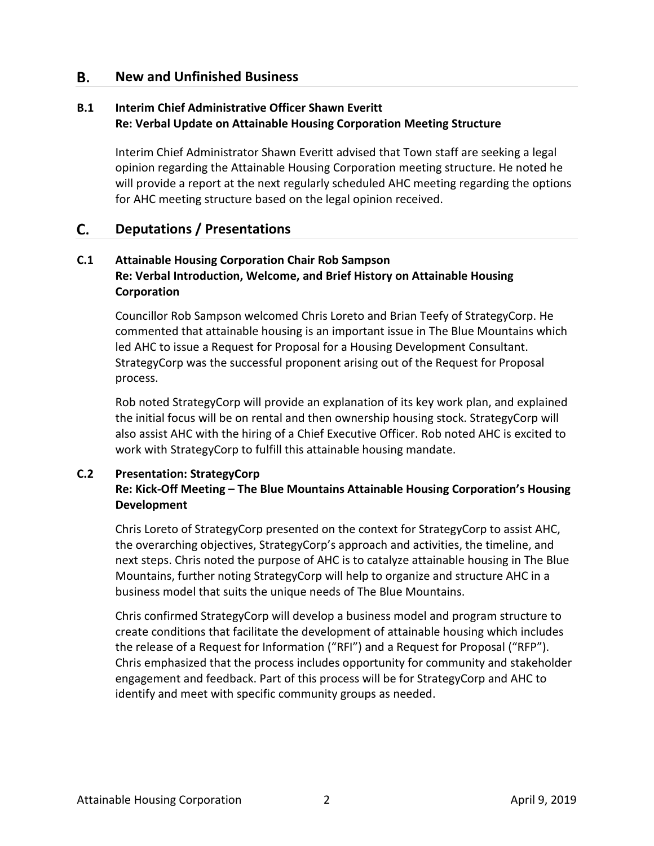#### **New and Unfinished Business** В.

# **B.1 Interim Chief Administrative Officer Shawn Everitt Re: Verbal Update on Attainable Housing Corporation Meeting Structure**

Interim Chief Administrator Shawn Everitt advised that Town staff are seeking a legal opinion regarding the Attainable Housing Corporation meeting structure. He noted he will provide a report at the next regularly scheduled AHC meeting regarding the options for AHC meeting structure based on the legal opinion received.

#### C. **Deputations / Presentations**

# **C.1 Attainable Housing Corporation Chair Rob Sampson Re: Verbal Introduction, Welcome, and Brief History on Attainable Housing Corporation**

Councillor Rob Sampson welcomed Chris Loreto and Brian Teefy of StrategyCorp. He commented that attainable housing is an important issue in The Blue Mountains which led AHC to issue a Request for Proposal for a Housing Development Consultant. StrategyCorp was the successful proponent arising out of the Request for Proposal process.

Rob noted StrategyCorp will provide an explanation of its key work plan, and explained the initial focus will be on rental and then ownership housing stock. StrategyCorp will also assist AHC with the hiring of a Chief Executive Officer. Rob noted AHC is excited to work with StrategyCorp to fulfill this attainable housing mandate.

# **C.2 Presentation: StrategyCorp Re: Kick-Off Meeting – The Blue Mountains Attainable Housing Corporation's Housing Development**

Chris Loreto of StrategyCorp presented on the context for StrategyCorp to assist AHC, the overarching objectives, StrategyCorp's approach and activities, the timeline, and next steps. Chris noted the purpose of AHC is to catalyze attainable housing in The Blue Mountains, further noting StrategyCorp will help to organize and structure AHC in a business model that suits the unique needs of The Blue Mountains.

Chris confirmed StrategyCorp will develop a business model and program structure to create conditions that facilitate the development of attainable housing which includes the release of a Request for Information ("RFI") and a Request for Proposal ("RFP"). Chris emphasized that the process includes opportunity for community and stakeholder engagement and feedback. Part of this process will be for StrategyCorp and AHC to identify and meet with specific community groups as needed.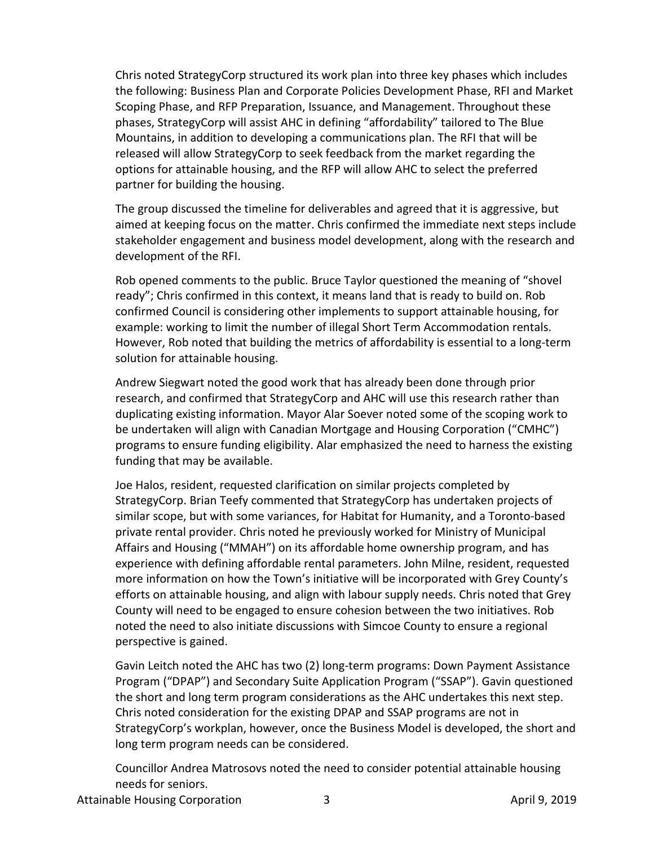Chris noted StrategyCorp structured its work plan into three key phases which includes the following: Business Plan and Corporate Policies Development Phase, RFI and Market Scoping Phase, and RFP Preparation, Issuance, and Management. Throughout these phases, StrategyCorp will assist AHC in defining "affordability" tailored to The Blue Mountains, in addition to developing a communications plan. The RFI that will be released will allow StrategyCorp to seek feedback from the market regarding the options for attainable housing, and the RFP will allow AHC to select the preferred partner for building the housing.

The group discussed the timeline for deliverables and agreed that it is aggressive, but aimed at keeping focus on the matter. Chris confirmed the immediate next steps include stakeholder engagement and business model development, along with the research and development of the RFI.

Rob opened comments to the public. Bruce Taylor questioned the meaning of "shovel ready"; Chris confirmed in this context, it means land that is ready to build on. Rob confirmed Council is considering other implements to support attainable housing, for example: working to limit the number of illegal Short Term Accommodation rentals. However, Rob noted that building the metrics of affordability is essential to a long-term solution for attainable housing.

Andrew Siegwart noted the good work that has already been done through prior research, and confirmed that StrategyCorp and AHC will use this research rather than duplicating existing information. Mayor Alar Soever noted some of the scoping work to be undertaken will align with Canadian Mortgage and Housing Corporation ("CMHC") programs to ensure funding eligibility. Alar emphasized the need to harness the existing funding that may be available.

Joe Halos, resident, requested clarification on similar projects completed by StrategyCorp. Brian Teefy commented that StrategyCorp has undertaken projects of similar scope, but with some variances, for Habitat for Humanity, and a Toronto-based private rental provider. Chris noted he previously worked for Ministry of Municipal Affairs and Housing ("MMAH") on its affordable home ownership program, and has experience with defining affordable rental parameters. John Milne, resident, requested more information on how the Town's initiative will be incorporated with Grey County's efforts on attainable housing, and align with labour supply needs. Chris noted that Grey County will need to be engaged to ensure cohesion between the two initiatives. Rob noted the need to also initiate discussions with Simcoe County to ensure a regional perspective is gained.

Gavin Leitch noted the AHC has two (2) long-term programs: Down Payment Assistance Program ("DPAP") and Secondary Suite Application Program ("SSAP"). Gavin questioned the short and long term program considerations as the AHC undertakes this next step. Chris noted consideration for the existing DPAP and SSAP programs are not in StrategyCorp's workplan, however, once the Business Model is developed, the short and long term program needs can be considered.

Councillor Andrea Matrosovs noted the need to consider potential attainable housing needs for seniors.